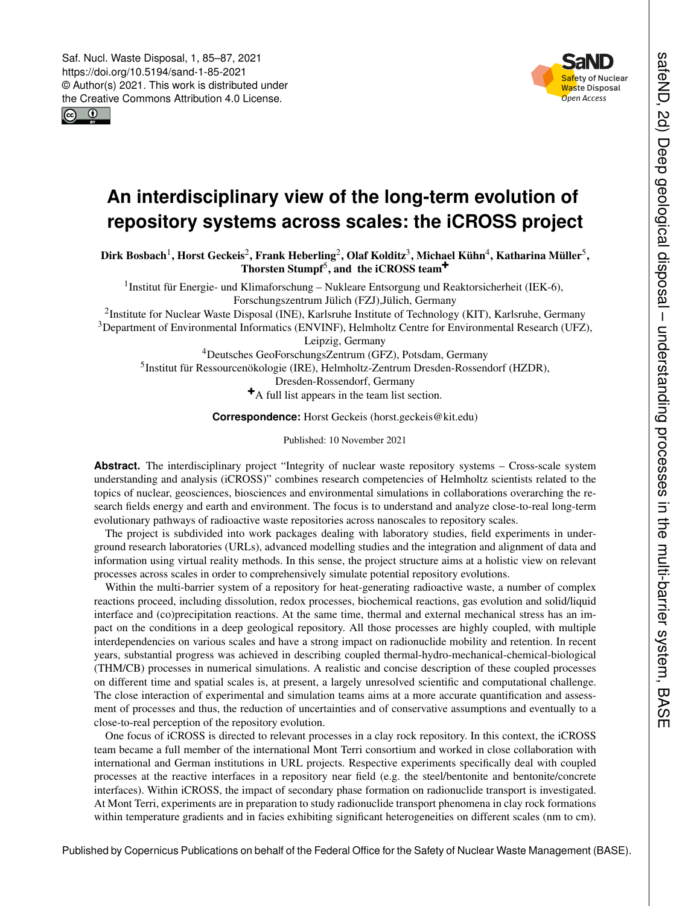



## **An interdisciplinary view of the long-term evolution of repository systems across scales: the iCROSS project**

Dirk Bosbach $^1$  $^1$ , Horst Geckeis $^2$  $^2$ , Frank Heberling $^2$ , Olaf Kolditz $^3$  $^3$ , Michael Kühn $^4$  $^4$ , Katharina Müller $^5$  $^5$ , Thorsten Stumpf<sup>[5](#page-0-0)</sup>, and the iCROSS team<sup>[+](#page-0-0)</sup>

<sup>1</sup> Institut für Energie- und Klimaforschung - Nukleare Entsorgung und Reaktorsicherheit (IEK-6), Forschungszentrum Jülich (FZJ),Jülich, Germany

<sup>2</sup>Institute for Nuclear Waste Disposal (INE), Karlsruhe Institute of Technology (KIT), Karlsruhe, Germany <sup>3</sup>Department of Environmental Informatics (ENVINF), Helmholtz Centre for Environmental Research (UFZ),

Leipzig, Germany

<sup>4</sup>Deutsches GeoForschungsZentrum (GFZ), Potsdam, Germany 5 Institut für Ressourcenökologie (IRE), Helmholtz-Zentrum Dresden-Rossendorf (HZDR), Dresden-Rossendorf, Germany <sup>+</sup>A full list appears in the team list section.

**Correspondence:** Horst Geckeis (horst.geckeis@kit.edu)

Published: 10 November 2021

Abstract. The interdisciplinary project "Integrity of nuclear waste repository systems – Cross-scale system understanding and analysis (iCROSS)" combines research competencies of Helmholtz scientists related to the topics of nuclear, geosciences, biosciences and environmental simulations in collaborations overarching the research fields energy and earth and environment. The focus is to understand and analyze close-to-real long-term evolutionary pathways of radioactive waste repositories across nanoscales to repository scales.

The project is subdivided into work packages dealing with laboratory studies, field experiments in underground research laboratories (URLs), advanced modelling studies and the integration and alignment of data and information using virtual reality methods. In this sense, the project structure aims at a holistic view on relevant processes across scales in order to comprehensively simulate potential repository evolutions.

Within the multi-barrier system of a repository for heat-generating radioactive waste, a number of complex reactions proceed, including dissolution, redox processes, biochemical reactions, gas evolution and solid/liquid interface and (co)precipitation reactions. At the same time, thermal and external mechanical stress has an impact on the conditions in a deep geological repository. All those processes are highly coupled, with multiple interdependencies on various scales and have a strong impact on radionuclide mobility and retention. In recent years, substantial progress was achieved in describing coupled thermal-hydro-mechanical-chemical-biological (THM/CB) processes in numerical simulations. A realistic and concise description of these coupled processes on different time and spatial scales is, at present, a largely unresolved scientific and computational challenge. The close interaction of experimental and simulation teams aims at a more accurate quantification and assessment of processes and thus, the reduction of uncertainties and of conservative assumptions and eventually to a close-to-real perception of the repository evolution.

<span id="page-0-0"></span>One focus of iCROSS is directed to relevant processes in a clay rock repository. In this context, the iCROSS team became a full member of the international Mont Terri consortium and worked in close collaboration with international and German institutions in URL projects. Respective experiments specifically deal with coupled processes at the reactive interfaces in a repository near field (e.g. the steel/bentonite and bentonite/concrete interfaces). Within iCROSS, the impact of secondary phase formation on radionuclide transport is investigated. At Mont Terri, experiments are in preparation to study radionuclide transport phenomena in clay rock formations within temperature gradients and in facies exhibiting significant heterogeneities on different scales (nm to cm).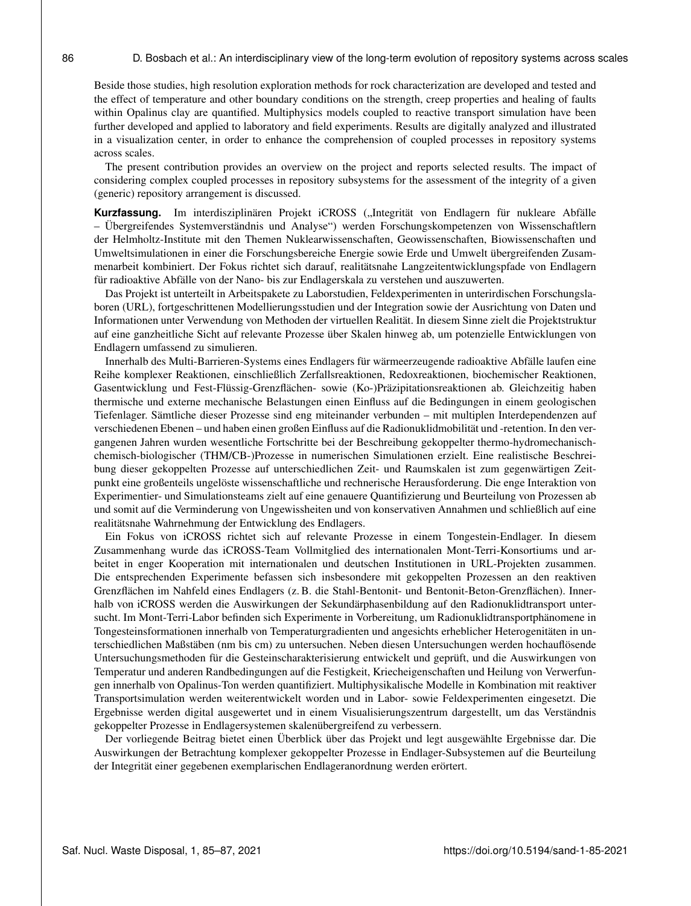Beside those studies, high resolution exploration methods for rock characterization are developed and tested and the effect of temperature and other boundary conditions on the strength, creep properties and healing of faults within Opalinus clay are quantified. Multiphysics models coupled to reactive transport simulation have been further developed and applied to laboratory and field experiments. Results are digitally analyzed and illustrated in a visualization center, in order to enhance the comprehension of coupled processes in repository systems across scales.

The present contribution provides an overview on the project and reports selected results. The impact of considering complex coupled processes in repository subsystems for the assessment of the integrity of a given (generic) repository arrangement is discussed.

Kurzfassung. Im interdisziplinären Projekt iCROSS ("Integrität von Endlagern für nukleare Abfälle – Übergreifendes Systemverständnis und Analyse") werden Forschungskompetenzen von Wissenschaftlern der Helmholtz-Institute mit den Themen Nuklearwissenschaften, Geowissenschaften, Biowissenschaften und Umweltsimulationen in einer die Forschungsbereiche Energie sowie Erde und Umwelt übergreifenden Zusammenarbeit kombiniert. Der Fokus richtet sich darauf, realitätsnahe Langzeitentwicklungspfade von Endlagern für radioaktive Abfälle von der Nano- bis zur Endlagerskala zu verstehen und auszuwerten.

Das Projekt ist unterteilt in Arbeitspakete zu Laborstudien, Feldexperimenten in unterirdischen Forschungslaboren (URL), fortgeschrittenen Modellierungsstudien und der Integration sowie der Ausrichtung von Daten und Informationen unter Verwendung von Methoden der virtuellen Realität. In diesem Sinne zielt die Projektstruktur auf eine ganzheitliche Sicht auf relevante Prozesse über Skalen hinweg ab, um potenzielle Entwicklungen von Endlagern umfassend zu simulieren.

Innerhalb des Multi-Barrieren-Systems eines Endlagers für wärmeerzeugende radioaktive Abfälle laufen eine Reihe komplexer Reaktionen, einschließlich Zerfallsreaktionen, Redoxreaktionen, biochemischer Reaktionen, Gasentwicklung und Fest-Flüssig-Grenzflächen- sowie (Ko-)Präzipitationsreaktionen ab. Gleichzeitig haben thermische und externe mechanische Belastungen einen Einfluss auf die Bedingungen in einem geologischen Tiefenlager. Sämtliche dieser Prozesse sind eng miteinander verbunden – mit multiplen Interdependenzen auf verschiedenen Ebenen – und haben einen großen Einfluss auf die Radionuklidmobilität und -retention. In den vergangenen Jahren wurden wesentliche Fortschritte bei der Beschreibung gekoppelter thermo-hydromechanischchemisch-biologischer (THM/CB-)Prozesse in numerischen Simulationen erzielt. Eine realistische Beschreibung dieser gekoppelten Prozesse auf unterschiedlichen Zeit- und Raumskalen ist zum gegenwärtigen Zeitpunkt eine großenteils ungelöste wissenschaftliche und rechnerische Herausforderung. Die enge Interaktion von Experimentier- und Simulationsteams zielt auf eine genauere Quantifizierung und Beurteilung von Prozessen ab und somit auf die Verminderung von Ungewissheiten und von konservativen Annahmen und schließlich auf eine realitätsnahe Wahrnehmung der Entwicklung des Endlagers.

Ein Fokus von iCROSS richtet sich auf relevante Prozesse in einem Tongestein-Endlager. In diesem Zusammenhang wurde das iCROSS-Team Vollmitglied des internationalen Mont-Terri-Konsortiums und arbeitet in enger Kooperation mit internationalen und deutschen Institutionen in URL-Projekten zusammen. Die entsprechenden Experimente befassen sich insbesondere mit gekoppelten Prozessen an den reaktiven Grenzflächen im Nahfeld eines Endlagers (z. B. die Stahl-Bentonit- und Bentonit-Beton-Grenzflächen). Innerhalb von iCROSS werden die Auswirkungen der Sekundärphasenbildung auf den Radionuklidtransport untersucht. Im Mont-Terri-Labor befinden sich Experimente in Vorbereitung, um Radionuklidtransportphänomene in Tongesteinsformationen innerhalb von Temperaturgradienten und angesichts erheblicher Heterogenitäten in unterschiedlichen Maßstäben (nm bis cm) zu untersuchen. Neben diesen Untersuchungen werden hochauflösende Untersuchungsmethoden für die Gesteinscharakterisierung entwickelt und geprüft, und die Auswirkungen von Temperatur und anderen Randbedingungen auf die Festigkeit, Kriecheigenschaften und Heilung von Verwerfungen innerhalb von Opalinus-Ton werden quantifiziert. Multiphysikalische Modelle in Kombination mit reaktiver Transportsimulation werden weiterentwickelt worden und in Labor- sowie Feldexperimenten eingesetzt. Die Ergebnisse werden digital ausgewertet und in einem Visualisierungszentrum dargestellt, um das Verständnis gekoppelter Prozesse in Endlagersystemen skalenübergreifend zu verbessern.

Der vorliegende Beitrag bietet einen Überblick über das Projekt und legt ausgewählte Ergebnisse dar. Die Auswirkungen der Betrachtung komplexer gekoppelter Prozesse in Endlager-Subsystemen auf die Beurteilung der Integrität einer gegebenen exemplarischen Endlageranordnung werden erörtert.